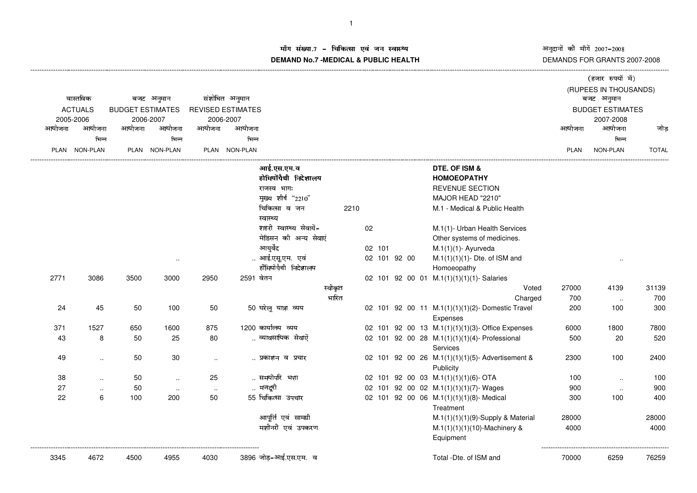# म संख्या.7 – चिकित्सा एवं जन स्वास्थ्य<br>IAND N- 7 MEDIOAL 8 DUDLIO UEALTIL **DEMAND No.7 -MEDICAL & PUBLIC HEALTH**

|        |                |                         |               |                      |                          |                         |         |              |  |  |                                                             |             | (हजार रुपयों में)       |              |
|--------|----------------|-------------------------|---------------|----------------------|--------------------------|-------------------------|---------|--------------|--|--|-------------------------------------------------------------|-------------|-------------------------|--------------|
|        |                |                         |               |                      |                          |                         |         |              |  |  |                                                             |             | (RUPEES IN THOUSANDS)   |              |
|        | वास्तविक       |                         | बजट अनुमान    |                      | संशोधित अनुमान           |                         |         |              |  |  |                                                             |             | बजट अनुमान              |              |
|        | <b>ACTUALS</b> | <b>BUDGET ESTIMATES</b> |               |                      | <b>REVISED ESTIMATES</b> |                         |         |              |  |  |                                                             |             | <b>BUDGET ESTIMATES</b> |              |
|        | 2005-2006      |                         | 2006-2007     |                      | 2006-2007                |                         |         |              |  |  |                                                             |             | 2007-2008               |              |
| आयोजना | आयोजना         | आयोजना                  | आयोजना        | आयोजना               | आयोजना                   |                         |         |              |  |  |                                                             | आयोजना      | आयोजना                  | जोड          |
|        | भिन्न          |                         | भिन्न         |                      | भिन्न                    |                         |         |              |  |  |                                                             |             | भिन्न                   |              |
|        | PLAN NON-PLAN  |                         | PLAN NON-PLAN |                      | PLAN NON-PLAN            |                         |         |              |  |  |                                                             | <b>PLAN</b> | NON-PLAN                | <b>TOTAL</b> |
|        |                |                         |               |                      |                          | आई.एस.एम.व              |         |              |  |  | DTE. OF ISM &                                               |             |                         |              |
|        |                |                         |               |                      |                          | होमियोंपैथी निदेशालय    |         |              |  |  | <b>HOMOEOPATHY</b>                                          |             |                         |              |
|        |                |                         |               |                      |                          | राजस्व भाग:             |         |              |  |  | REVENUE SECTION                                             |             |                         |              |
|        |                |                         |               |                      |                          | मुख्य शीर्ष "2210"      |         |              |  |  | MAJOR HEAD "2210"                                           |             |                         |              |
|        |                |                         |               |                      |                          | चिकित्सा व जन           | 2210    |              |  |  | M.1 - Medical & Public Health                               |             |                         |              |
|        |                |                         |               |                      |                          | स्वास्थ्य               |         |              |  |  |                                                             |             |                         |              |
|        |                |                         |               |                      |                          | शहरी स्वास्थ्य सेवायें- |         | 02           |  |  | M.1(1)- Urban Health Services                               |             |                         |              |
|        |                |                         |               |                      |                          | मेडिसन की अन्य सेवाएं   |         |              |  |  | Other systems of medicines.                                 |             |                         |              |
|        |                |                         |               |                      |                          | आयुर्वेद                |         | 02 101       |  |  | $M.1(1)(1)$ - Ayurveda                                      |             |                         |              |
|        |                |                         | $\cdot$ .     |                      |                          | आई.एसू.एम. एवं          |         | 02 101 92 00 |  |  | $M.1(1)(1)(1)$ - Dte. of ISM and                            |             | $\ddotsc$               |              |
|        |                |                         |               |                      |                          | होँमियोपैथी निदेशालय    |         |              |  |  | Homoeopathy                                                 |             |                         |              |
| 2771   | 3086           | 3500                    | 3000          | 2950                 | 2591 वेतन                |                         |         |              |  |  | 02 101 92 00 01 M.1(1)(1)(1)(1)- Salaries                   |             |                         |              |
|        |                |                         |               |                      |                          |                         | स्वीकृत |              |  |  | Voted                                                       | 27000       | 4139                    | 31139        |
|        |                |                         |               |                      |                          |                         | भारित   |              |  |  | Charged                                                     | 700         | $\sim$                  | 700          |
| 24     | 45             | 50                      | 100           | 50                   |                          | 50 घरेलू यात्रा व्यय    |         |              |  |  | 02 101 92 00 11 M.1(1)(1)(1)(2)-Domestic Travel<br>Expenses | 200         | 100                     | 300          |
| 371    | 1527           | 650                     | 1600          | 875                  |                          | 1200 कार्यालय व्यय      |         |              |  |  | 02 101 92 00 13 M.1(1)(1)(1)(3)- Office Expenses            | 6000        | 1800                    | 7800         |
| 43     | 8              | 50                      | 25            | 80                   |                          | व्यावसायिक सेवाऐँ       |         |              |  |  | 02 101 92 00 28 M.1(1)(1)(1)(4)- Professional               | 500         | 20                      | 520          |
|        |                |                         |               |                      |                          |                         |         |              |  |  | Services                                                    |             |                         |              |
| 49     | $\ddotsc$      | 50                      | 30            | $\ddot{\phantom{a}}$ |                          | प्रकाशन व प्रचार        |         |              |  |  | 02 101 92 00 26 M.1(1)(1)(1)(5)- Advertisement &            | 2300        | 100                     | 2400         |
|        |                |                         |               |                      |                          |                         |         |              |  |  | Publicity                                                   |             |                         |              |
| 38     | $\sim$         | 50                      | $\ldots$      | 25                   |                          | समयोपरि भत्ता           |         |              |  |  | 02 101 92 00 03 M.1(1)(1)(1)(6)-OTA                         | 100         | $\ddotsc$               | 100          |
| 27     | $\ddotsc$      | 50                      | $\sim$        | $\ddotsc$            |                          | मजदूरी                  |         |              |  |  | 02 101 92 00 02 M.1(1)(1)(1)(7)-Wages                       | 900         | $\sim$                  | 900          |
| 22     | 6              | 100                     | 200           | 50                   |                          | 55 चिकित्सा उपचार       |         |              |  |  | 02 101 92 00 06 M.1(1)(1)(1)(8)- Medical<br>Treatment       | 300         | 100                     | 400          |
|        |                |                         |               |                      |                          | आपूर्ति एवं सामग्री     |         |              |  |  | $M.1(1)(1)(1)(9)$ -Supply & Material                        | 28000       |                         | 28000        |
|        |                |                         |               |                      |                          | मशीनरी एवं उपकरण        |         |              |  |  | M.1(1)(1)(1)(10)-Machinery &                                | 4000        |                         | 4000         |
|        |                |                         |               |                      |                          |                         |         |              |  |  | Equipment                                                   |             |                         |              |
| 3345   | 4672           | 4500                    | 4955          | 4030                 |                          | 3896 जोड़-आई.एस.एम. व   |         |              |  |  | Total -Dte. of ISM and                                      | 70000       | 6259                    | 76259        |
|        |                |                         |               |                      |                          |                         |         |              |  |  |                                                             |             |                         |              |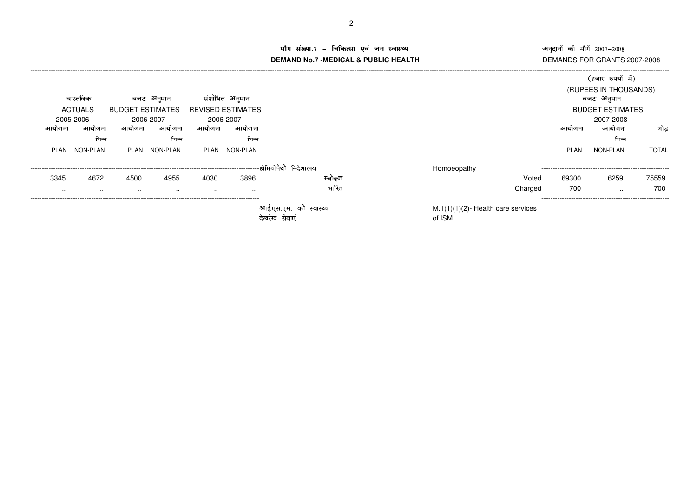# अनुदानों की माँगें 2007-2008 अनुदानों की माँगें 2007–2008<br>DEMANDS FOR GRANTS 2007-2008

### ग संख्या.7 – चिकित्सा एवं जन स्वास्थ्य<br>IAND N- 7 MEDIOAL 8 DUBLIOUEALTIL **DEMAND No.7 -MEDICAL & PUBLIC HEALTH**

----------------------------------------------------------------------------------------------------------------------------------------------------------------------------------------------------------------------------------------------------------------------------------------------

|             |           |                  |               |        |                          |                              |                                                 |         |        | (हजार रुपयों में)       |              |
|-------------|-----------|------------------|---------------|--------|--------------------------|------------------------------|-------------------------------------------------|---------|--------|-------------------------|--------------|
|             |           |                  |               |        |                          |                              |                                                 |         |        | (RUPEES IN THOUSANDS)   |              |
|             | वास्तविक  |                  | बजट अनुमान    |        | संशोधित अनुमान           |                              |                                                 |         |        | बजट अनुमान              |              |
|             | ACTUALS   | BUDGET ESTIMATES |               |        | <b>REVISED ESTIMATES</b> |                              |                                                 |         |        | <b>BUDGET ESTIMATES</b> |              |
|             | 2005-2006 |                  | 2006-2007     |        | 2006-2007                |                              |                                                 |         |        | 2007-2008               |              |
| आयोजना      | आयोजना    | आयोजना           | आयोजना        | आयोजना | आयोजना                   |                              |                                                 |         | आयोजना | अायोजना                 | जोड          |
|             | भिन्न     |                  | भिन्न         |        | भिन्न                    |                              |                                                 |         |        | भिन्न                   |              |
| <b>PLAN</b> | NON-PLAN  |                  | PLAN NON-PLAN |        | PLAN NON-PLAN            |                              |                                                 |         | PLAN   | NON-PLAN                | <b>TOTAL</b> |
|             |           |                  |               |        |                          |                              | Homoeopathy                                     |         |        |                         |              |
| 3345        | 4672      | 4500             | 4955          | 4030   | 3896                     | स्वाकर                       |                                                 | Voted   | 69300  | 6259                    | 75559        |
| $\cdots$    | $\cdots$  | $\cdots$         | $\cdots$      | . .    | $\sim$                   | भारित                        |                                                 | Charged | 700    | $\cdots$                | 700          |
|             |           |                  |               |        |                          | स्वास्थ्य<br>ਟੇਸ਼ਹੇਸ਼ ਸੇਗਾएਂ | $M.1(1)(1)(2)$ - Health care services<br>of ICM |         |        |                         |              |

देखरेख सेवाएं बाद करने के बाद पर प्रकाश करते हैं। इस प्रकाश के बाद प्रकाश की SM

2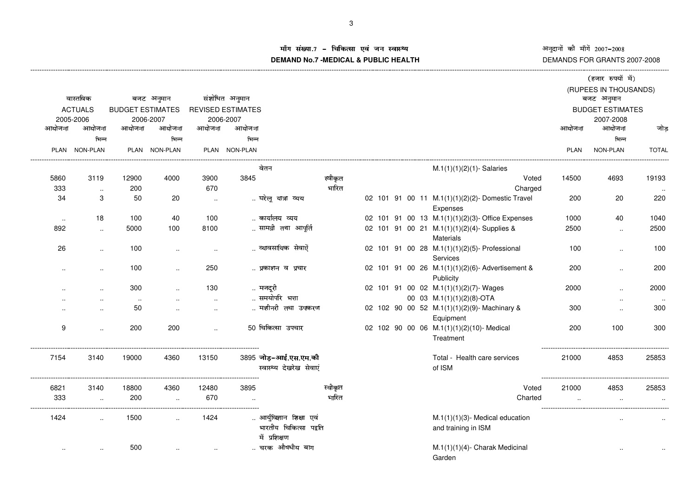अनुदानों की माँगें 2007–2008 ©ª§ª«¬®¯ª°±«¬ <sup>²</sup>³³´µ <sup>²</sup>³³¶ DEMANDS FOR GRANTS 2007-2008

# ाँग संख्या.7 – चिकित्सा एवं जन स्वास्थ्य<br>|AND N= 7 MEDIOAL 8 DUDLIO UEALTIL **DEMAND No.7 -MEDICAL & PUBLIC HEALTH**

|        |                      |                         |                      |        |                          |                                                                    |         |  |  |                                                              |             | (हजार रुपयों में)       |              |
|--------|----------------------|-------------------------|----------------------|--------|--------------------------|--------------------------------------------------------------------|---------|--|--|--------------------------------------------------------------|-------------|-------------------------|--------------|
|        |                      |                         |                      |        |                          |                                                                    |         |  |  |                                                              |             | (RUPEES IN THOUSANDS)   |              |
|        | वास्तविक             |                         | बजट अनुमान           |        | संशोधित अनुमान           |                                                                    |         |  |  |                                                              |             | बजट अनुमान              |              |
|        | <b>ACTUALS</b>       | <b>BUDGET ESTIMATES</b> |                      |        | <b>REVISED ESTIMATES</b> |                                                                    |         |  |  |                                                              |             | <b>BUDGET ESTIMATES</b> |              |
|        | 2005-2006            |                         | 2006-2007            |        | 2006-2007                |                                                                    |         |  |  |                                                              |             | 2007-2008               |              |
| आयोजना | आयोजना               | आयोजना                  | आयोजना               | आयोजना | आयोजना                   |                                                                    |         |  |  |                                                              | आयोजना      | आयोजना                  | जोड़         |
|        | भिन्न                |                         | भिन्न                |        | भिन्न                    |                                                                    |         |  |  |                                                              |             | भिन्न                   |              |
|        | PLAN NON-PLAN        |                         | PLAN NON-PLAN        |        | PLAN NON-PLAN            |                                                                    |         |  |  |                                                              | <b>PLAN</b> | NON-PLAN                | <b>TOTAL</b> |
|        |                      |                         |                      |        |                          | वेतन                                                               |         |  |  | $M.1(1)(1)(2)(1)$ - Salaries                                 |             |                         |              |
| 5860   | 3119                 | 12900                   | 4000                 | 3900   | 3845                     |                                                                    | स्वीकृत |  |  | Voted                                                        | 14500       | 4693                    | 19193        |
| 333    | $\cdot$ .            | 200                     |                      | 670    |                          |                                                                    | भारित   |  |  | Charged                                                      |             |                         |              |
| 34     | 3                    | 50                      | 20                   | $\sim$ |                          | घरेलू यात्रा व्यय                                                  |         |  |  | 02 101 91 00 11 M.1(1)(1)(2)(2)-Domestic Travel<br>Expenses  | 200         | 20                      | 220          |
| $\sim$ | 18                   | 100                     | 40                   | 100    |                          | कार्यालय व्यय                                                      |         |  |  | 02 101 91 00 13 M.1(1)(1)(2)(3)-Office Expenses              | 1000        | 40                      | 1040         |
| 892    | $\ldots$             | 5000                    | 100                  | 8100   |                          | सामग्री तथा आपूर्ति                                                |         |  |  | 02 101 91 00 21 M.1(1)(1)(2)(4)-Supplies &<br>Materials      | 2500        | $\sim$                  | 2500         |
| 26     | $\cdot$ .            | 100                     | $\cdot$ .            |        |                          | व्यावसायिक सेवाऐँ                                                  |         |  |  | 02 101 91 00 28 M.1(1)(1)(2)(5)- Professional<br>Services    | 100         | $\ddot{\phantom{a}}$    | 100          |
|        | $\ddot{\phantom{a}}$ | 100                     | $\cdot$ .            | 250    |                          | प्रकाशन व प्रचार                                                   |         |  |  | 02 101 91 00 26 M.1(1)(1)(2)(6)-Advertisement &<br>Publicity | 200         | $\ddot{\phantom{a}}$    | 200          |
|        |                      | 300                     |                      | 130    |                          | मजदूरी                                                             |         |  |  | 02 101 91 00 02 M.1(1)(1)(2)(7)-Wages                        | 2000        |                         | 2000         |
|        |                      | $\sim$                  |                      | $\sim$ |                          | समयोपरि भत्ता                                                      |         |  |  | 00 03 M.1(1)(1)(2)(8)-OTA                                    |             | $\ddotsc$               |              |
|        | $\ddot{\phantom{a}}$ | 50                      | $\ddotsc$            | $\sim$ |                          | मशीनरी तथा उपकरण                                                   |         |  |  | 02 102 90 00 52 M.1(1)(1)(2)(9)-Machinary &<br>Equipment     | 300         | $\ddotsc$               | 300          |
| 9      | $\ddotsc$            | 200                     | 200                  | $\sim$ |                          | 50 चिकित्सा उपचार                                                  |         |  |  | 02 102 90 00 06 M.1(1)(1)(2)(10)-Medical<br>Treatment        | 200         | 100                     | 300          |
| 7154   | 3140                 | 19000                   | 4360                 | 13150  |                          | 3895 जोड़-आई.एस.एम.की<br>स्वास्थ्य देखरेख सेवाएं                   |         |  |  | Total - Health care services<br>of ISM                       | 21000       | 4853                    | 25853        |
| 6821   | 3140                 | 18800                   | 4360                 | 12480  | 3895                     |                                                                    | स्वीकृत |  |  | Voted                                                        | 21000       | 4853                    | 25853        |
| 333    |                      | 200                     | $\ddotsc$            | 670    |                          |                                                                    | भारित   |  |  | Charted                                                      |             |                         |              |
| 1424   |                      | 1500                    |                      | 1424   |                          | आर्युविज्ञान शिक्षा एवं<br>भारतीय चिकित्सा पद्वति<br>में प्रशिक्षण |         |  |  | $M.1(1)(1)(3)$ - Medical education<br>and training in ISM    |             |                         |              |
|        | $\cdot$              | 500                     | $\ddot{\phantom{a}}$ | $\sim$ |                          | चरक औषधीय बाग                                                      |         |  |  | M.1(1)(1)(4)- Charak Medicinal<br>Garden                     |             |                         |              |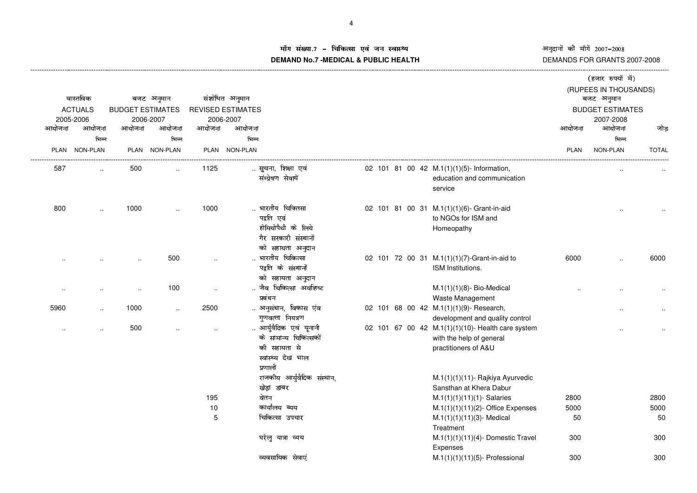# \*+,-/0.1+32 <sup>45</sup> 67689.+:;/<=;>+>?1@AB**DEMAND No.7 -MEDICAL & PUBLIC HEALTH**

|        |                      |                         |                      |           |                          |                            |  |                                                   |             | (हजार रुपयों में)<br>(RUPEES IN THOUSANDS) |              |
|--------|----------------------|-------------------------|----------------------|-----------|--------------------------|----------------------------|--|---------------------------------------------------|-------------|--------------------------------------------|--------------|
|        | वास्तविक             |                         | बजट अनुमान           |           | संशोधित अनुमान           |                            |  |                                                   |             | बजट अनुमान                                 |              |
|        | <b>ACTUALS</b>       | <b>BUDGET ESTIMATES</b> |                      |           | <b>REVISED ESTIMATES</b> |                            |  |                                                   |             | <b>BUDGET ESTIMATES</b>                    |              |
|        | 2005-2006            |                         | 2006-2007            |           | 2006-2007                |                            |  |                                                   |             | 2007-2008                                  |              |
| आयोजना | आयोजना               | आयोजना                  | आयोजना               | आयोजना    | आयोजना                   |                            |  |                                                   | आयोजना      | आयोजना                                     | जोड          |
|        | भिन्न                |                         | भिन्न                |           | भिन्न                    |                            |  |                                                   |             | भिन्न                                      |              |
|        | PLAN NON-PLAN        |                         | PLAN NON-PLAN        |           | PLAN NON-PLAN            |                            |  |                                                   | <b>PLAN</b> | <b>NON-PLAN</b>                            | <b>TOTAL</b> |
| 587    | $\cdot$              | 500                     | $\ddotsc$            | 1125      |                          | सूचना, शिक्षा एवं          |  | 02 101 81 00 42 M.1(1)(1)(5)- Information,        |             |                                            |              |
|        |                      |                         |                      |           |                          | संम्प्रेषण सेवायें         |  | education and communication                       |             |                                            |              |
|        |                      |                         |                      |           |                          |                            |  | service                                           |             |                                            |              |
| 800    |                      | 1000                    |                      | 1000      |                          | भारतीय चिकितसा             |  | 02 101 81 00 31 M.1(1)(1)(6)- Grant-in-aid        |             |                                            |              |
|        |                      |                         |                      |           |                          | पद्वति एवं                 |  | to NGOs for ISM and                               |             |                                            |              |
|        |                      |                         |                      |           |                          | होमियोपैथी के लिये         |  | Homeopathy                                        |             |                                            |              |
|        |                      |                         |                      |           |                          | गैर सरकारी संस्थानों       |  |                                                   |             |                                            |              |
|        |                      |                         |                      |           |                          | को सहायता अनुदान           |  |                                                   |             |                                            |              |
|        |                      |                         | 500                  |           |                          | भारतीय चिकित्सा            |  | 02 101 72 00 31 M.1(1)(1)(7)-Grant-in-aid to      | 6000        |                                            | 6000         |
|        |                      |                         |                      |           |                          | पद्वति के संस्थानों        |  | ISM Institutions.                                 |             |                                            |              |
|        |                      |                         |                      |           |                          | को सहायता अनुदान           |  |                                                   |             |                                            |              |
|        |                      | $\sim$                  | 100                  | $\ddotsc$ |                          | जैव चिकित्सा अवशिष्ट       |  | $M.1(1)(1)(8)$ - Bio-Medical                      |             |                                            |              |
|        |                      |                         |                      |           |                          | प्रबंधन                    |  | Waste Management                                  |             |                                            |              |
| 5960   | $\ddot{\phantom{a}}$ | 1000                    | $\ddot{\phantom{a}}$ | 2500      |                          | अनुसंधान, विकास एंव        |  | 02 101 68 00 42 M.1(1)(1)(9)- Research,           |             |                                            |              |
|        |                      |                         |                      |           |                          | गुणवत्ता नियत्रण           |  | development and quality control                   |             |                                            |              |
|        | $\cdot$ .            | 500                     |                      |           |                          | आर्युवैदिक एवं यूनानी      |  | 02 101 67 00 42 M.1(1)(1)(10)- Health care system |             |                                            |              |
|        |                      |                         |                      |           |                          | के सामान्य चिकित्सकों      |  | with the help of general                          |             |                                            |              |
|        |                      |                         |                      |           |                          | की सहायता से               |  | practitioners of A&U                              |             |                                            |              |
|        |                      |                         |                      |           |                          | स्वास्थ्य देख भाल          |  |                                                   |             |                                            |              |
|        |                      |                         |                      |           |                          | प्रणाली                    |  |                                                   |             |                                            |              |
|        |                      |                         |                      |           |                          | राजकीय आर्युवैदिक संस्थान, |  | M.1(1)(1)(11)- Rajkiya Ayurvedic                  |             |                                            |              |
|        |                      |                         |                      |           |                          | खेड़ा डाबर                 |  | Sansthan at Khera Dabur                           |             |                                            |              |
|        |                      |                         |                      | 195       |                          | वेतन                       |  | $M.1(1)(1)(11)(1)$ - Salaries                     | 2800        |                                            | 2800         |
|        |                      |                         |                      | 10        |                          | कार्यालय ब्यय              |  | $M.1(1)(1)(11)(2)$ - Office Expenses              | 5000        |                                            | 5000         |
|        |                      |                         |                      | 5         |                          | चिकित्सा उपचार             |  | M.1(1)(1)(11)(3)- Medical                         | 50          |                                            | 50           |
|        |                      |                         |                      |           |                          |                            |  | Treatment                                         |             |                                            |              |
|        |                      |                         |                      |           |                          | घरेलू यात्रा व्यय          |  | M.1(1)(1)(11)(4)- Domestic Travel                 | 300         |                                            | 300          |
|        |                      |                         |                      |           |                          |                            |  | Expenses                                          |             |                                            |              |
|        |                      |                         |                      |           |                          | व्यवसायिक सेवाएं           |  | $M.1(1)(1)(11)(5)$ - Professional                 | 300         |                                            | 300          |
|        |                      |                         |                      |           |                          |                            |  |                                                   |             |                                            |              |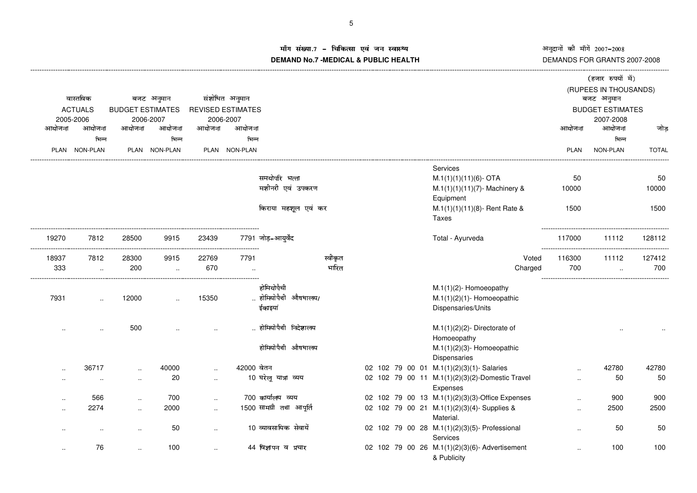# Å। संख्या.7 – चिकित्सा एवं जन स्वास्थ्य<br>IAND N- 7 MEDIOAL 8 DUDLIO UEALTIL **DEMAND No.7 -MEDICAL & PUBLIC HEALTH**

|        |                |                         |               |                      |                          |                          |         |  |  |                                                                  |           | (हजार रुपयों में)                   |              |
|--------|----------------|-------------------------|---------------|----------------------|--------------------------|--------------------------|---------|--|--|------------------------------------------------------------------|-----------|-------------------------------------|--------------|
|        | वास्तविक       |                         | बजट अनुमान    |                      | संशोधित अनुमान           |                          |         |  |  |                                                                  |           | (RUPEES IN THOUSANDS)<br>बजट अनुमान |              |
|        | <b>ACTUALS</b> | <b>BUDGET ESTIMATES</b> |               |                      | <b>REVISED ESTIMATES</b> |                          |         |  |  |                                                                  |           | <b>BUDGET ESTIMATES</b>             |              |
|        | 2005-2006      |                         | 2006-2007     |                      | 2006-2007                |                          |         |  |  |                                                                  |           | 2007-2008                           |              |
| आयोजना | आयोजना         | आयोजना                  | आयोजना        | आयोजना               | आयोजना                   |                          |         |  |  |                                                                  | आयोजना    | आयोजना                              | जोड          |
|        | भिन्न          |                         | भिन्न         |                      | भिन्न                    |                          |         |  |  |                                                                  |           | भिन्न                               |              |
|        | PLAN NON-PLAN  |                         | PLAN NON-PLAN |                      | PLAN NON-PLAN            |                          |         |  |  |                                                                  | PLAN      | NON-PLAN                            | <b>TOTAL</b> |
|        |                |                         |               |                      |                          |                          |         |  |  | <b>Services</b>                                                  |           |                                     |              |
|        |                |                         |               |                      |                          | समयोपरि भत्ता            |         |  |  | $M.1(1)(1)(11)(6)$ - OTA                                         | 50        |                                     | 50           |
|        |                |                         |               |                      |                          | मशीनरी एवं उपकरण         |         |  |  | $M.1(1)(1)(11)(7)$ - Machinery &<br>Equipment                    | 10000     |                                     | 10000        |
|        |                |                         |               |                      |                          | किराया महशूल एवं कर      |         |  |  | $M.1(1)(1)(11)(8)$ - Rent Rate &<br><b>Taxes</b>                 | 1500      |                                     | 1500         |
| 19270  | 7812           | 28500                   | 9915          | 23439                |                          | 7791 जोड–आयर्वेद         |         |  |  | Total - Ayurveda                                                 | 117000    | 11112                               | 128112       |
| 18937  | 7812           | 28300                   | 9915          | 22769                | 7791                     |                          | स्वीकृत |  |  | Voted                                                            | 116300    | 11112                               | 127412       |
| 333    | $\cdot$        | 200                     | $\ddotsc$     | 670                  |                          |                          | भारित   |  |  | Charged                                                          | 700       |                                     | 700          |
|        |                |                         |               |                      |                          | होमियोपैथी               |         |  |  | M.1(1)(2)-Homoeopathy                                            |           |                                     |              |
| 7931   |                | 12000                   |               | 15350                |                          | होमियोपैथी औषधालय/       |         |  |  | $M.1(1)(2)(1)$ - Homoeopathic                                    |           |                                     |              |
|        |                |                         |               |                      |                          | ईकाइयां                  |         |  |  | Dispensaries/Units                                               |           |                                     |              |
|        | $\cdot$        | 500                     |               |                      |                          | होमियोपैथी निदेशालय      |         |  |  | $M.1(1)(2)(2)$ - Directorate of<br>Homoeopathy                   |           |                                     |              |
|        |                |                         |               |                      |                          | होमियोपैथी औषधालय        |         |  |  | $M.1(1)(2)(3)$ - Homoeopathic<br>Dispensaries                    |           |                                     |              |
|        | 36717          |                         | 40000         | $\ddot{\phantom{a}}$ | 42000 वेतन               |                          |         |  |  | 02 102 79 00 01 M.1(1)(2)(3)(1)-Salaries                         |           | 42780                               | 42780        |
|        | $\sim$         | $\ddot{\phantom{a}}$    | 20            | $\ddotsc$            |                          | 10 घरेलू यात्रा व्यय     |         |  |  | 02 102 79 00 11 M.1(1)(2)(3)(2)-Domestic Travel<br>Expenses      | $\ddotsc$ | 50                                  | 50           |
|        | 566            | $\ddot{\phantom{a}}$    | 700           |                      |                          | 700 कार्यालय व्यय        |         |  |  | 02 102 79 00 13 M.1(1)(2)(3)(3)-Office Expenses                  |           | 900                                 | 900          |
|        | 2274           | $\ddot{\phantom{a}}$    | 2000          | $\ddot{\phantom{a}}$ |                          | 1500 सामग्री तथा आपूर्ति |         |  |  | 02 102 79 00 21 M.1(1)(2)(3)(4)-Supplies &<br>Material.          | $\cdot$   | 2500                                | 2500         |
|        | $\cdot$ .      |                         | 50            | $\ddot{\phantom{a}}$ |                          | 10 व्यावसायिक सेवायें    |         |  |  | 02 102 79 00 28 M.1(1)(2)(3)(5)- Professional<br><b>Services</b> |           | 50                                  | 50           |
|        | 76             |                         | 100           |                      |                          | 44 विज्ञापन व प्रचार     |         |  |  | 02 102 79 00 26 M.1(1)(2)(3)(6)- Advertisement<br>& Publicity    |           | 100                                 | 100          |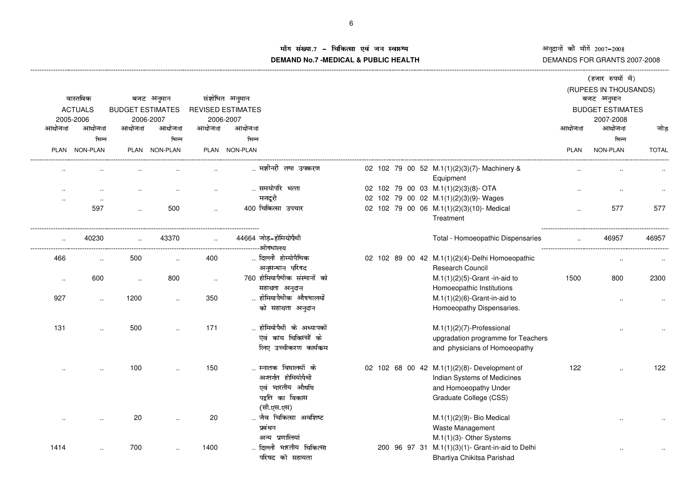### ाँग संख्या.7 – चिकित्सा एवं जन स्वास्थ्य<br>IAND N- 7 MEDIOAL 8 DUDLIOUEALTIL **DEMAND No.7 -MEDICAL & PUBLIC HEALTH**

|        |                                                |                         |               |                      |                          |                                                                                 |  |                                                                                                                                |             | (हजार रुपयों में)       |              |
|--------|------------------------------------------------|-------------------------|---------------|----------------------|--------------------------|---------------------------------------------------------------------------------|--|--------------------------------------------------------------------------------------------------------------------------------|-------------|-------------------------|--------------|
|        |                                                |                         |               |                      |                          |                                                                                 |  |                                                                                                                                |             | (RUPEES IN THOUSANDS)   |              |
|        | वास्तविक                                       |                         | बजट अनुमान    |                      | संशोधित अनुमान           |                                                                                 |  |                                                                                                                                |             | बजट अनुमान              |              |
|        | <b>ACTUALS</b>                                 | <b>BUDGET ESTIMATES</b> |               |                      | <b>REVISED ESTIMATES</b> |                                                                                 |  |                                                                                                                                |             | <b>BUDGET ESTIMATES</b> |              |
|        | 2005-2006                                      |                         | 2006-2007     |                      | 2006-2007                |                                                                                 |  |                                                                                                                                |             | 2007-2008               |              |
| आयोजना | आयोजना                                         | आयोजना                  | आयोजना        | आयोजना               | आयोजना                   |                                                                                 |  |                                                                                                                                | आयोजना      | आयोजना                  | जोड़         |
|        | भिन्न                                          |                         | भिन्न         |                      | भिन्न                    |                                                                                 |  |                                                                                                                                |             | भिन्न                   |              |
|        | PLAN NON-PLAN                                  |                         | PLAN NON-PLAN |                      | PLAN NON-PLAN            |                                                                                 |  |                                                                                                                                | <b>PLAN</b> | NON-PLAN                | <b>TOTAL</b> |
|        |                                                |                         |               |                      |                          | मशीनरी  तथा  उपकरण                                                              |  | 02 102 79 00 52 M.1(1)(2)(3)(7)-Machinery &<br>Equipment                                                                       |             |                         |              |
|        |                                                |                         |               |                      |                          | समयोपरि भत्ता                                                                   |  | 02 102 79 00 03 M.1(1)(2)(3)(8)- OTA                                                                                           |             |                         |              |
|        |                                                |                         |               |                      |                          | मजदूरी                                                                          |  | 02 102 79 00 02 M.1(1)(2)(3)(9)-Wages                                                                                          |             |                         |              |
|        | 597                                            | $\ddot{\phantom{a}}$    | 500           | $\ddot{\phantom{a}}$ |                          | 400 चिकित्सा उपचार                                                              |  | 02 102 79 00 06 M.1(1)(2)(3)(10)- Medical<br>Treatment                                                                         |             | 577                     | 577          |
|        | 40230<br>------------------------------------- |                         | 43370         |                      |                          | 44664 जोड़–होमियोपैथी                                                           |  | Total - Homoeopathic Dispensaries                                                                                              |             | 46957                   | 46957        |
| 466    | $\cdot$ .                                      | 500                     |               | 400                  |                          | दिल्ली होम्योपैथिक                                                              |  | 02 102 89 00 42 M.1(1)(2)(4)-Delhi Homoeopathic                                                                                |             |                         |              |
|        |                                                |                         |               |                      |                          | अनुसन्धान परिषद                                                                 |  | Research Council                                                                                                               |             |                         |              |
| $\sim$ | 600                                            | $\ddot{\phantom{a}}$    | 800           | $\ddotsc$            |                          | 760 होमियापैथीक संस्थानों को                                                    |  | $M.1(1)(2)(5)$ -Grant -in-aid to                                                                                               | 1500        | 800                     | 2300         |
|        |                                                |                         |               |                      |                          | सहायता अनुदान                                                                   |  | Homoeopathic Institutions                                                                                                      |             |                         |              |
| 927    | $\ddotsc$                                      | 1200                    |               | 350                  |                          | होमियापैथीक औषधालयों                                                            |  | $M.1(1)(2)(6)$ -Grant-in-aid to                                                                                                |             |                         |              |
|        |                                                |                         |               |                      |                          | को सहायता अनुदान                                                                |  | Homoeopathy Dispensaries.                                                                                                      |             |                         |              |
| 131    |                                                | 500                     |               | 171                  |                          | होमियोपैथी के अध्यापकों<br>एवं काय चिकित्सों के<br>लिए उच्चीकरण कार्यकम         |  | $M.1(1)(2)(7)$ -Professional<br>upgradation programme for Teachers<br>and physicians of Homoeopathy                            |             |                         |              |
|        |                                                | 100                     |               | 150                  |                          | स्नातक विघालयों के<br>अन्तर्गत होमियोपैथी<br>एवं भारतीय औषधि<br>पद्वति का विकास |  | 02 102 68 00 42 M.1(1)(2)(8)- Development of<br>Indian Systems of Medicines<br>and Homoeopathy Under<br>Graduate College (CSS) | 122         |                         | 122          |
|        |                                                | 20                      |               | 20                   |                          | (सी.एस.एस)<br>जैव चिकित्सा अवशिष्ट<br>प्रबंधन<br>अन्य प्रणालियां                |  | $M.1(1)(2)(9)$ - Bio Medical<br>Waste Management<br>M.1(1)(3)- Other Systems                                                   |             |                         |              |
| 1414   |                                                | 700                     |               | 1400                 |                          | दिल्ली भारतीय चिकित्सा<br>परिषद को सहायता                                       |  | 200 96 97 31 M.1(1)(3)(1)- Grant-in-aid to Delhi<br>Bhartiya Chikitsa Parishad                                                 |             |                         |              |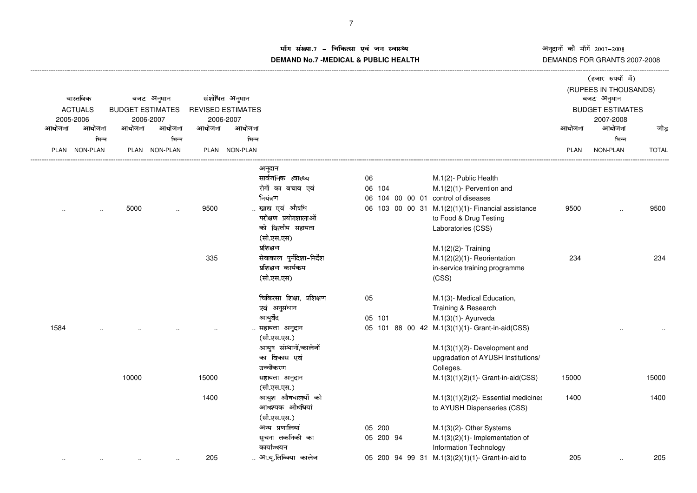# ाँग संख्या.7 – चिकित्सा एवं जन स्वास्थ्य<br>IAND N-7 MEDIOAL 8 DUDLIOUEALTIL **DEMAND No.7 -MEDICAL & PUBLIC HEALTH**

|        |                |                         |               |        |                          |                            |           |                                                    |        | (हजार रुपयों में)       |              |
|--------|----------------|-------------------------|---------------|--------|--------------------------|----------------------------|-----------|----------------------------------------------------|--------|-------------------------|--------------|
|        |                |                         |               |        |                          |                            |           |                                                    |        | (RUPEES IN THOUSANDS)   |              |
|        | वास्तविक       |                         | बजट अनुमान    |        | संशोधित अनुमान           |                            |           |                                                    |        | बजट अनुमान              |              |
|        | <b>ACTUALS</b> | <b>BUDGET ESTIMATES</b> |               |        | <b>REVISED ESTIMATES</b> |                            |           |                                                    |        | <b>BUDGET ESTIMATES</b> |              |
|        | 2005-2006      |                         | 2006-2007     |        | 2006-2007                |                            |           |                                                    |        | 2007-2008               |              |
| आयोजना | आयोजना         | आयोजना                  | आयोजना        | आयोजना | आयोजना                   |                            |           |                                                    | आयोजना | आयोजना                  | जोड          |
|        | भिन्न          |                         | भिन्न         |        | भिन्न                    |                            |           |                                                    |        | भिन्न                   |              |
|        | PLAN NON-PLAN  |                         | PLAN NON-PLAN |        | PLAN NON-PLAN            |                            |           |                                                    | PLAN   | NON-PLAN                | <b>TOTAL</b> |
|        |                |                         |               |        |                          | अनुदान                     |           |                                                    |        |                         |              |
|        |                |                         |               |        |                          | सार्वजनिक स्वास्थ्य        | 06        | M.1(2)- Public Health                              |        |                         |              |
|        |                |                         |               |        |                          | रोगों का बचाव एवं          | 06 104    | $M.1(2)(1)$ - Pervention and                       |        |                         |              |
|        |                |                         |               |        |                          | नियंत्रण                   | 06        | 104 00 00 01 control of diseases                   |        |                         |              |
|        |                | 5000                    |               | 9500   |                          | खाद्य एवं औषधि             |           | 06 103 00 00 31 M.1(2)(1)(1)- Financial assistance | 9500   |                         | 9500         |
|        |                |                         |               |        |                          | परीक्षण प्रयोगशालाओं       |           | to Food & Drug Testing                             |        |                         |              |
|        |                |                         |               |        |                          | को वित्तीय सहायता          |           | Laboratories (CSS)                                 |        |                         |              |
|        |                |                         |               |        |                          | (सी.एस.एस)                 |           |                                                    |        |                         |              |
|        |                |                         |               |        |                          | प्रशिक्षण                  |           | $M.1(2)(2)$ - Training                             |        |                         |              |
|        |                |                         |               | 335    |                          | सेवाकाल पुर्नदिशा-निर्देश  |           | $M.1(2)(2)(1)$ - Reorientation                     | 234    |                         | 234          |
|        |                |                         |               |        |                          | प्रशिक्षण कार्यकम          |           | in-service training programme                      |        |                         |              |
|        |                |                         |               |        |                          | (सी.एस.एस)                 |           | (CSS)                                              |        |                         |              |
|        |                |                         |               |        |                          | चिकित्सा शिक्षा, प्रशिक्षण | 05        | M.1(3)- Medical Education,                         |        |                         |              |
|        |                |                         |               |        |                          | एवं अनुसंधान               |           | Training & Research                                |        |                         |              |
|        |                |                         |               |        |                          | आयुर्वेद                   | 05 101    | $M.1(3)(1)$ - Ayurveda                             |        |                         |              |
| 1584   |                |                         |               |        |                          | सहायता अनुदान              |           | 05 101 88 00 42 M.1(3)(1)(1)- Grant-in-aid(CSS)    |        |                         |              |
|        |                |                         |               |        |                          | (सी.एस.एस.)                |           |                                                    |        |                         |              |
|        |                |                         |               |        |                          | आयुष संस्थानों/कालेजों     |           | $M.1(3)(1)(2)$ - Development and                   |        |                         |              |
|        |                |                         |               |        |                          | का विकास एवं               |           | upgradation of AYUSH Institutions/                 |        |                         |              |
|        |                |                         |               |        |                          | उच्चीकरण                   |           | Colleges.                                          |        |                         |              |
|        |                | 10000                   |               | 15000  |                          | सहायता अनुदान              |           | $M.1(3)(1)(2)(1)$ - Grant-in-aid(CSS)              | 15000  |                         | 15000        |
|        |                |                         |               |        |                          | (सी.एस.एस.)                |           |                                                    |        |                         |              |
|        |                |                         |               | 1400   |                          | आयुश औषधालयों को           |           | $M.1(3)(1)(2)(2)$ - Essential medicines            | 1400   |                         | 1400         |
|        |                |                         |               |        |                          | आवश्यक औषधियां             |           | to AYUSH Dispenseries (CSS)                        |        |                         |              |
|        |                |                         |               |        |                          | (सी.एस.एस.)                |           |                                                    |        |                         |              |
|        |                |                         |               |        |                          | अन्य प्रणालियां            | 05 200    | M.1(3)(2)- Other Systems                           |        |                         |              |
|        |                |                         |               |        |                          | सूचना तकनिकी का            | 05 200 94 | $M.1(3)(2)(1)$ - Implementation of                 |        |                         |              |
|        |                |                         |               |        |                          | कार्यान्वयन                |           | <b>Information Technology</b>                      |        |                         |              |
|        |                |                         |               | 205    |                          | आ.यू.तिब्बिया कालेज        |           | 05 200 94 99 31 M.1(3)(2)(1)(1)- Grant-in-aid to   | 205    |                         | 205          |
|        |                |                         |               |        |                          |                            |           |                                                    |        |                         |              |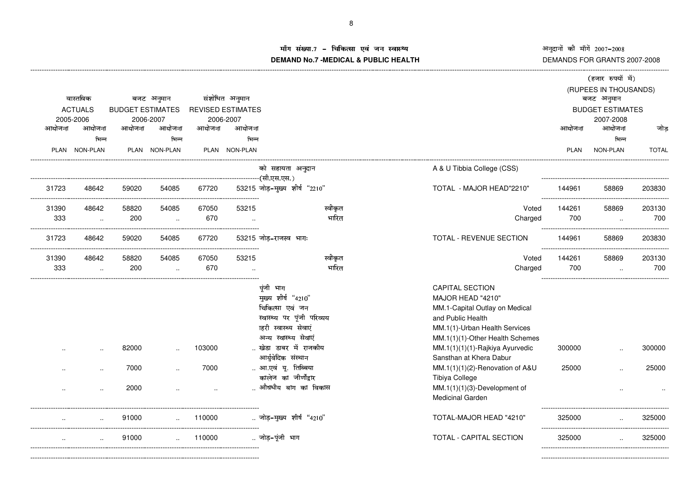---------------------------------------------------------

# म संख्या.7 – चिकित्सा एवं जन स्वास्थ्य<br>IAND N- 7 MEDIOAL 8 DUDLIOUEALTIL **DEMAND No.7 -MEDICAL & PUBLIC HEALTH**

----------------------------------------------------------------------------------------------------------------------------------------------------------------------------------------------------------------------------------------------------------------------------------------------

|        |                |                         |                      |                                 |                          |                                                                                                                                                            |                                                                                                                                                                                                           |             | (हजार रुपयों में)       |              |
|--------|----------------|-------------------------|----------------------|---------------------------------|--------------------------|------------------------------------------------------------------------------------------------------------------------------------------------------------|-----------------------------------------------------------------------------------------------------------------------------------------------------------------------------------------------------------|-------------|-------------------------|--------------|
|        |                |                         |                      |                                 |                          |                                                                                                                                                            |                                                                                                                                                                                                           |             | (RUPEES IN THOUSANDS)   |              |
|        | वास्तविक       |                         | बजट अनुमान           |                                 | संशोधित अनुमान           |                                                                                                                                                            |                                                                                                                                                                                                           |             | बजट अनुमान              |              |
|        | <b>ACTUALS</b> | <b>BUDGET ESTIMATES</b> |                      |                                 | <b>REVISED ESTIMATES</b> |                                                                                                                                                            |                                                                                                                                                                                                           |             | <b>BUDGET ESTIMATES</b> |              |
|        | 2005-2006      |                         | 2006-2007            |                                 | 2006-2007                |                                                                                                                                                            |                                                                                                                                                                                                           |             | 2007-2008               |              |
| आयोजना | आयोजना         | आयोजना                  | आयोजना               | आयोजना                          | आयोजना                   |                                                                                                                                                            |                                                                                                                                                                                                           | आयोजना      | आयोजना                  | जोड          |
|        | भिन्न          |                         | भिन्न                |                                 | भिन्न                    |                                                                                                                                                            |                                                                                                                                                                                                           |             | भिन्न                   |              |
|        | PLAN NON-PLAN  |                         | PLAN NON-PLAN        |                                 | PLAN NON-PLAN            |                                                                                                                                                            |                                                                                                                                                                                                           | <b>PLAN</b> | NON-PLAN                | <b>TOTAL</b> |
|        |                |                         |                      |                                 |                          | को सहायता अनुदान                                                                                                                                           | A & U Tibbia College (CSS)                                                                                                                                                                                |             |                         |              |
|        |                |                         |                      |                                 |                          |                                                                                                                                                            |                                                                                                                                                                                                           |             |                         |              |
| 31723  | 48642          | 59020                   | 54085                | 67720                           |                          | 53215 जोड़-मुख्य शीर्ष "2210"                                                                                                                              | TOTAL - MAJOR HEAD"2210"                                                                                                                                                                                  | 144961      | 58869                   | 203830       |
| 31390  | 48642          | 58820                   | 54085                | 67050                           | 53215                    | स्वीकृत                                                                                                                                                    | Voted                                                                                                                                                                                                     | 144261      | 58869                   | 203130       |
| 333    | $\ddotsc$      | 200                     | $\sim$               | 670                             |                          | भारित                                                                                                                                                      | Charged                                                                                                                                                                                                   | 700         | $\ldots$                | 700          |
| 31723  | 48642          | 59020                   | 54085                | 67720                           |                          | 53215 जोड़-राजस्व भागः                                                                                                                                     | TOTAL - REVENUE SECTION                                                                                                                                                                                   | 144961      | 58869                   | 203830       |
| 31390  | 48642          | 58820                   | 54085                | 67050                           | 53215                    | स्वीकृत                                                                                                                                                    | Voted                                                                                                                                                                                                     | 144261      | 58869                   | 203130       |
| 333    | $\ldots$       | 200                     | $\ddot{\phantom{a}}$ | 670                             | $\ddot{\phantom{a}}$     | भारित                                                                                                                                                      | Charged                                                                                                                                                                                                   | 700         | $\ddot{\phantom{a}}$    | 700          |
|        |                | 82000                   |                      | 103000                          |                          | पूंजी भाग<br>मुख्य शीर्ष "4210"<br>चिकित्सा एवं जन<br>स्वास्थ्य पर पूंजी परिव्यय<br>ाहरी स्वास्थ्य सेवाएं<br>अन्य स्वास्थ्य सेवाएं<br>खेडा डाबर में राजकीय | <b>CAPITAL SECTION</b><br>MAJOR HEAD "4210"<br>MM.1-Capital Outlay on Medical<br>and Public Health<br>MM.1(1)-Urban Health Services<br>MM.1(1)(1)-Other Health Schemes<br>MM.1(1)(1)(1)-Rajkiya Ayurvedic | 300000      |                         | 300000       |
|        |                |                         |                      |                                 |                          | आर्युवेदिक संस्थान                                                                                                                                         | Sansthan at Khera Dabur                                                                                                                                                                                   |             |                         |              |
|        |                | 7000                    |                      | 7000                            |                          | आ.एवं यू. तिब्बिया<br>कालेज का जीर्णोद्गार                                                                                                                 | MM.1(1)(1)(2)-Renovation of A&U<br><b>Tibiya College</b>                                                                                                                                                  | 25000       |                         | 25000        |
|        |                | 2000                    |                      |                                 |                          | औषधीय बाग का विकास                                                                                                                                         | $MM.1(1)(1)(3)$ -Development of<br><b>Medicinal Garden</b>                                                                                                                                                |             |                         |              |
|        |                | 91000                   |                      | 110000<br>_____________________ |                          | जोड़-मुख्य शीर्ष "4210"                                                                                                                                    | TOTAL-MAJOR HEAD "4210"                                                                                                                                                                                   | 325000      |                         | 325000       |
|        |                | 91000                   |                      | 110000                          |                          | जोड़-पूंजी भाग                                                                                                                                             | TOTAL - CAPITAL SECTION                                                                                                                                                                                   | 325000      |                         | 325000       |
|        |                |                         |                      |                                 |                          |                                                                                                                                                            |                                                                                                                                                                                                           |             |                         |              |

------------------------------------------------------------------------------------------------------